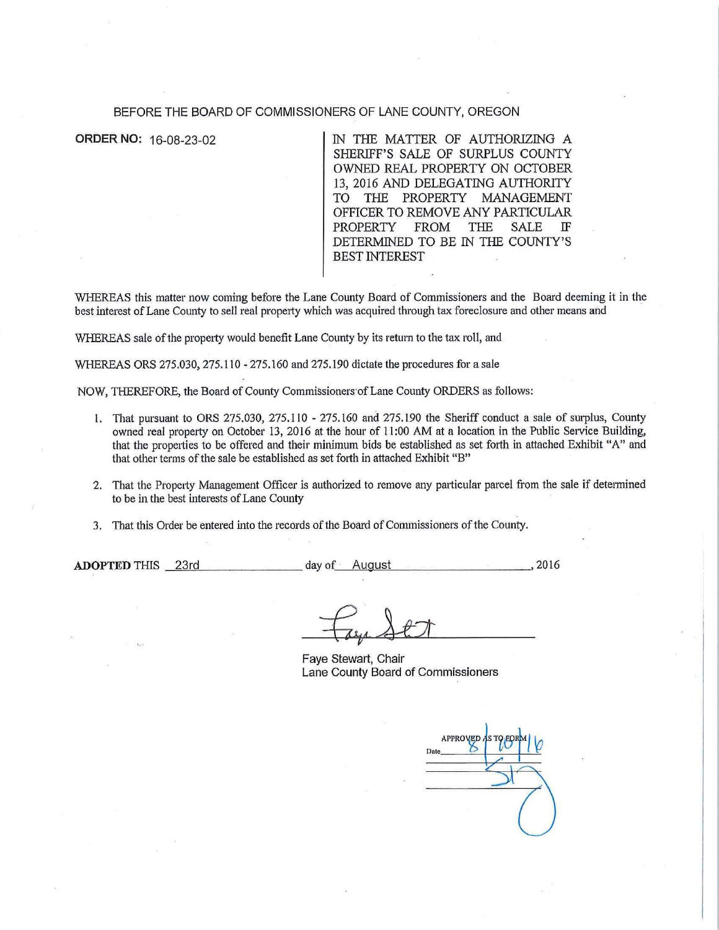#### BEFORE THE BOARD OF COMMISSIONERS OF LANE COUNTY, OREGON

**ORDER NO:** 16-08-23-02 IN THE MATIER OF AUTHORIZING A SHERIFF'S SALE OF SURPLUS COUNTY OWNED REAL PROPERTY ON OCTOBER 13, 2016 AND DELEGATING AUTHORITY TO THE PROPERTY MANAGEMENT OFFICER TO REMOVE ANY PARTICULAR PROPERTY FROM THE SALE IF DETERMINED TO BE IN THE COUNTY'S BEST INTEREST

WHEREAS this matter now coming before the Lane County Board of Commissioners and the Board deeming it in the best interest of Lane County to sell real property which was acquired through tax foreclosure and other means and

WHEREAS sale of the property would benefit Lane County by its return to the tax roll, and

WHEREAS ORS 275.030, 275.110 - 275.160 and 275.190 dictate the procedures for a sale

NOW, THEREFORE, the Board of County Commissioners·ofLane County ORDERS as foJlows:

- l. That pursuant to ORS 275.030, 275.110 275.160 and 275.190 the Sheriff conduct a sale of surplus, County owned real property on October 13, 2016 at the hour of 11:00 AM at a location in the Public Service Building, that the properties to be offered and their minimum bids be established as set forth in attached Exhibit "A" and that other terms of the sale be established as set forth in attached Exhibit "B"
- 2. That the Property Management Officer is authorized to remove any particular parcel from the sale if determined to be in the best interests of Lane County
- 3. That this Order be entered into the records of the Board of Commissioners of the County.

ADOPTED THIS 23rd day of August 12016, 2016

Faye Stewart, Chair Lane County Board of Commissioners

APPROVED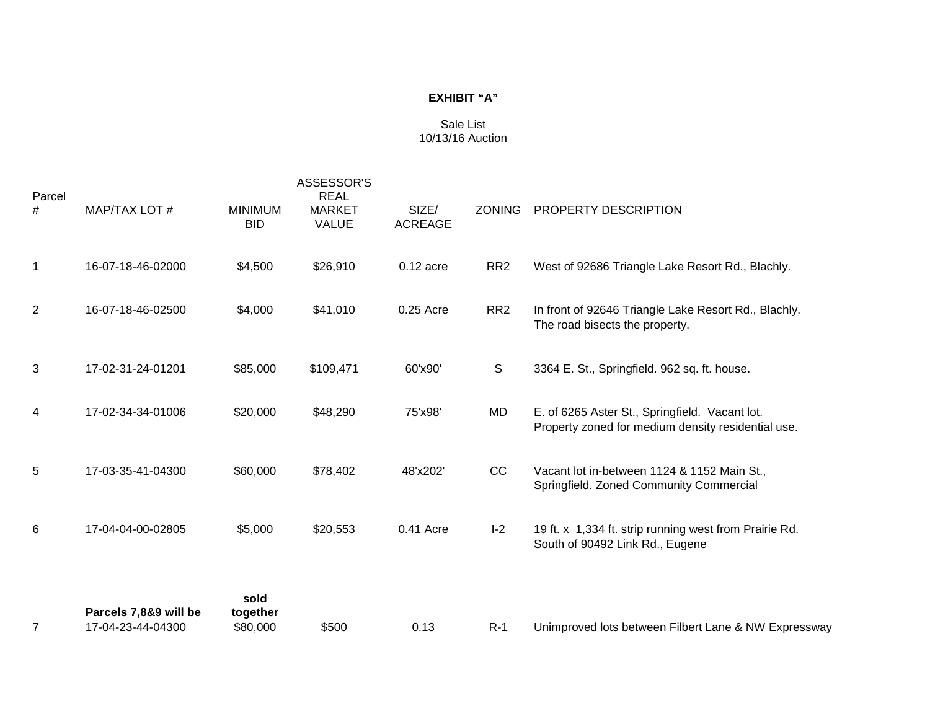# **EXHIBIT "A"**

# Sale List 10/13/16 Auction

| Parcel         |                                            |                              | <b>REAL</b>                   |                         |                 |                                                                                                      |
|----------------|--------------------------------------------|------------------------------|-------------------------------|-------------------------|-----------------|------------------------------------------------------------------------------------------------------|
| #              | MAP/TAX LOT #                              | <b>MINIMUM</b><br><b>BID</b> | <b>MARKET</b><br><b>VALUE</b> | SIZE/<br><b>ACREAGE</b> | <b>ZONING</b>   | PROPERTY DESCRIPTION                                                                                 |
| 1              | 16-07-18-46-02000                          | \$4,500                      | \$26,910                      | $0.12$ acre             | RR <sub>2</sub> | West of 92686 Triangle Lake Resort Rd., Blachly.                                                     |
| $\overline{2}$ | 16-07-18-46-02500                          | \$4,000                      | \$41,010                      | 0.25 Acre               | RR <sub>2</sub> | In front of 92646 Triangle Lake Resort Rd., Blachly.<br>The road bisects the property.               |
| 3              | 17-02-31-24-01201                          | \$85,000                     | \$109,471                     | 60'x90'                 | $\mathsf{S}$    | 3364 E. St., Springfield. 962 sq. ft. house.                                                         |
| 4              | 17-02-34-34-01006                          | \$20,000                     | \$48,290                      | 75'x98'                 | <b>MD</b>       | E. of 6265 Aster St., Springfield. Vacant lot.<br>Property zoned for medium density residential use. |
| 5              | 17-03-35-41-04300                          | \$60,000                     | \$78,402                      | 48'x202'                | CC              | Vacant lot in-between 1124 & 1152 Main St.,<br>Springfield. Zoned Community Commercial               |
| 6              | 17-04-04-00-02805                          | \$5,000                      | \$20,553                      | 0.41 Acre               | $I-2$           | 19 ft. x 1,334 ft. strip running west from Prairie Rd.<br>South of 90492 Link Rd., Eugene            |
| 7              | Parcels 7,8&9 will be<br>17-04-23-44-04300 | sold<br>together<br>\$80,000 | \$500                         | 0.13                    | $R-1$           | Unimproved lots between Filbert Lane & NW Expressway                                                 |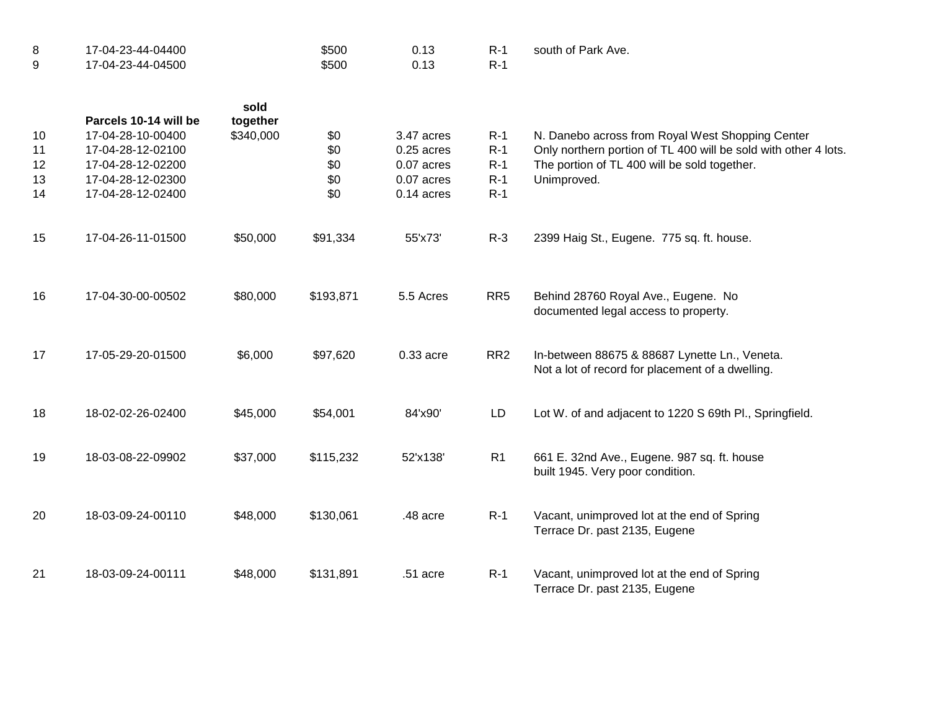| 8<br>9 | 17-04-23-44-04400<br>17-04-23-44-04500 |                  | \$500<br>\$500 | 0.13<br>0.13 | $R-1$<br>$R-1$  | south of Park Ave.                                                                                |
|--------|----------------------------------------|------------------|----------------|--------------|-----------------|---------------------------------------------------------------------------------------------------|
|        | Parcels 10-14 will be                  | sold<br>together |                |              |                 |                                                                                                   |
| 10     | 17-04-28-10-00400                      | \$340,000        | \$0            | 3.47 acres   | $R-1$           | N. Danebo across from Royal West Shopping Center                                                  |
| 11     | 17-04-28-12-02100                      |                  | \$0            | $0.25$ acres | $R-1$           | Only northern portion of TL 400 will be sold with other 4 lots.                                   |
| 12     | 17-04-28-12-02200                      |                  | \$0            | 0.07 acres   | $R-1$           | The portion of TL 400 will be sold together.                                                      |
| 13     | 17-04-28-12-02300                      |                  | \$0            | 0.07 acres   | $R-1$           | Unimproved.                                                                                       |
| 14     | 17-04-28-12-02400                      |                  | \$0            | $0.14$ acres | $R-1$           |                                                                                                   |
| 15     | 17-04-26-11-01500                      | \$50,000         | \$91,334       | 55'x73'      | $R-3$           | 2399 Haig St., Eugene. 775 sq. ft. house.                                                         |
| 16     | 17-04-30-00-00502                      | \$80,000         | \$193,871      | 5.5 Acres    | RR <sub>5</sub> | Behind 28760 Royal Ave., Eugene. No<br>documented legal access to property.                       |
| 17     | 17-05-29-20-01500                      | \$6,000          | \$97,620       | 0.33 acre    | RR <sub>2</sub> | In-between 88675 & 88687 Lynette Ln., Veneta.<br>Not a lot of record for placement of a dwelling. |
| 18     | 18-02-02-26-02400                      | \$45,000         | \$54,001       | 84'x90'      | <b>LD</b>       | Lot W. of and adjacent to 1220 S 69th Pl., Springfield.                                           |
| 19     | 18-03-08-22-09902                      | \$37,000         | \$115,232      | 52'x138'     | R <sub>1</sub>  | 661 E. 32nd Ave., Eugene. 987 sq. ft. house<br>built 1945. Very poor condition.                   |
| 20     | 18-03-09-24-00110                      | \$48,000         | \$130,061      | .48 acre     | $R-1$           | Vacant, unimproved lot at the end of Spring<br>Terrace Dr. past 2135, Eugene                      |
| 21     | 18-03-09-24-00111                      | \$48,000         | \$131,891      | .51 acre     | $R-1$           | Vacant, unimproved lot at the end of Spring<br>Terrace Dr. past 2135, Eugene                      |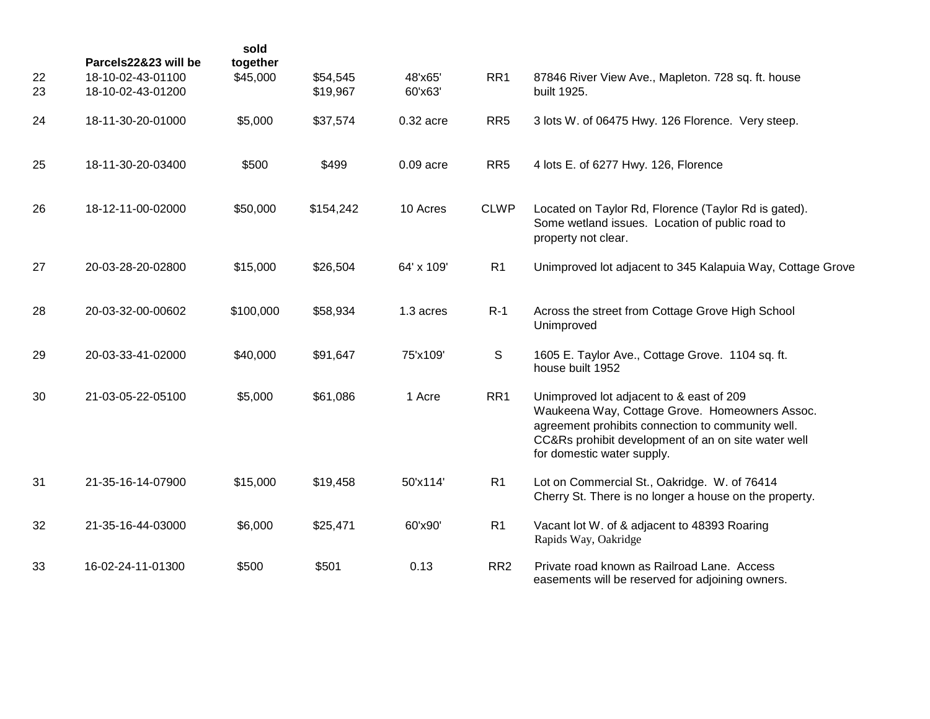| 22<br>23 | Parcels22&23 will be<br>18-10-02-43-01100<br>18-10-02-43-01200 | sold<br>together<br>\$45,000 | \$54,545<br>\$19,967 | 48'x65'<br>60'x63' | RR1             | 87846 River View Ave., Mapleton. 728 sq. ft. house<br>built 1925.                                                                                                                                                                    |
|----------|----------------------------------------------------------------|------------------------------|----------------------|--------------------|-----------------|--------------------------------------------------------------------------------------------------------------------------------------------------------------------------------------------------------------------------------------|
| 24       | 18-11-30-20-01000                                              | \$5,000                      | \$37,574             | $0.32$ acre        | RR <sub>5</sub> | 3 lots W. of 06475 Hwy. 126 Florence. Very steep.                                                                                                                                                                                    |
| 25       | 18-11-30-20-03400                                              | \$500                        | \$499                | $0.09$ acre        | RR <sub>5</sub> | 4 lots E. of 6277 Hwy. 126, Florence                                                                                                                                                                                                 |
| 26       | 18-12-11-00-02000                                              | \$50,000                     | \$154,242            | 10 Acres           | <b>CLWP</b>     | Located on Taylor Rd, Florence (Taylor Rd is gated).<br>Some wetland issues. Location of public road to<br>property not clear.                                                                                                       |
| 27       | 20-03-28-20-02800                                              | \$15,000                     | \$26,504             | 64' x 109'         | R1              | Unimproved lot adjacent to 345 Kalapuia Way, Cottage Grove                                                                                                                                                                           |
| 28       | 20-03-32-00-00602                                              | \$100,000                    | \$58,934             | 1.3 acres          | $R-1$           | Across the street from Cottage Grove High School<br>Unimproved                                                                                                                                                                       |
| 29       | 20-03-33-41-02000                                              | \$40,000                     | \$91,647             | 75'x109'           | S               | 1605 E. Taylor Ave., Cottage Grove. 1104 sq. ft.<br>house built 1952                                                                                                                                                                 |
| 30       | 21-03-05-22-05100                                              | \$5,000                      | \$61,086             | 1 Acre             | RR1             | Unimproved lot adjacent to & east of 209<br>Waukeena Way, Cottage Grove. Homeowners Assoc.<br>agreement prohibits connection to community well.<br>CC&Rs prohibit development of an on site water well<br>for domestic water supply. |
| 31       | 21-35-16-14-07900                                              | \$15,000                     | \$19,458             | 50'x114'           | R <sub>1</sub>  | Lot on Commercial St., Oakridge. W. of 76414<br>Cherry St. There is no longer a house on the property.                                                                                                                               |
| 32       | 21-35-16-44-03000                                              | \$6,000                      | \$25,471             | 60'x90'            | R <sub>1</sub>  | Vacant lot W. of & adjacent to 48393 Roaring<br>Rapids Way, Oakridge                                                                                                                                                                 |
| 33       | 16-02-24-11-01300                                              | \$500                        | \$501                | 0.13               | RR <sub>2</sub> | Private road known as Railroad Lane. Access<br>easements will be reserved for adjoining owners.                                                                                                                                      |